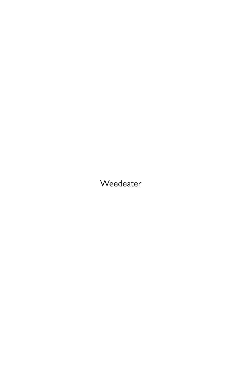Weedeater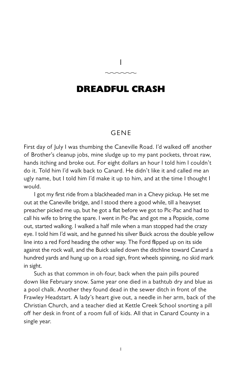1

# **Dreadful Crash**

## GENE

First day of July I was thumbing the Caneville Road. I'd walked off another of Brother's cleanup jobs, mine sludge up to my pant pockets, throat raw, hands itching and broke out. For eight dollars an hour I told him I couldn't do it. Told him I'd walk back to Canard. He didn't like it and called me an ugly name, but I told him I'd make it up to him, and at the time I thought I would.

I got my first ride from a blackheaded man in a Chevy pickup. He set me out at the Caneville bridge, and I stood there a good while, till a heavyset preacher picked me up, but he got a flat before we got to Pic-Pac and had to call his wife to bring the spare. I went in Pic-Pac and got me a Popsicle, come out, started walking. I walked a half mile when a man stopped had the crazy eye. I told him I'd wait, and he gunned his silver Buick across the double yellow line into a red Ford heading the other way. The Ford flipped up on its side against the rock wall, and the Buick sailed down the ditchline toward Canard a hundred yards and hung up on a road sign, front wheels spinning, no skid mark in sight.

Such as that common in oh-four, back when the pain pills poured down like February snow. Same year one died in a bathtub dry and blue as a pool chalk. Another they found dead in the sewer ditch in front of the Frawley Headstart. A lady's heart give out, a needle in her arm, back of the Christian Church, and a teacher died at Kettle Creek School snorting a pill off her desk in front of a room full of kids. All that in Canard County in a single year.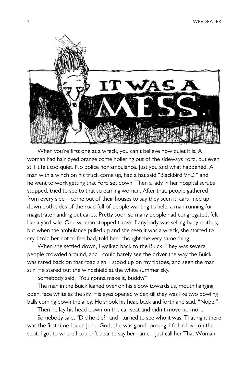

When you're first one at a wreck, you can't believe how quiet it is. A woman had hair dyed orange come hollering out of the sideways Ford, but even still it felt too quiet. No police nor ambulance. Just you and what happened. A man with a winch on his truck come up, had a hat said "Blackbird VFD," and he went to work getting that Ford set down. Then a lady in her hospital scrubs stopped, tried to see to that screaming woman. After that, people gathered from every side—come out of their houses to say they seen it, cars lined up down both sides of the road full of people wanting to help, a man running for magistrate handing out cards. Pretty soon so many people had congregated, felt like a yard sale. One woman stopped to ask if anybody was selling baby clothes, but when the ambulance pulled up and she seen it was a wreck, she started to cry. I told her not to feel bad, told her I thought the very same thing.

When she settled down, I walked back to the Buick. They was several people crowded around, and I could barely see the driver the way the Buick was rared back on that road sign. I stood up on my tiptoes, and seen the man stir. He stared out the windshield at the white summer sky.

Somebody said, "You gonna make it, buddy?"

The man in the Buick leaned over on his elbow towards us, mouth hanging open, face white as the sky. His eyes opened wider, till they was like two bowling balls coming down the alley. He shook his head back and forth and said, "Nope."

Then he lay his head down on the car seat and didn't move no more.

Somebody said, "Did he die?" and I turned to see who it was. That right there was the first time I seen June. God, she was good-looking. I fell in love on the spot. I got to where I couldn't bear to say her name. I just call her That Woman.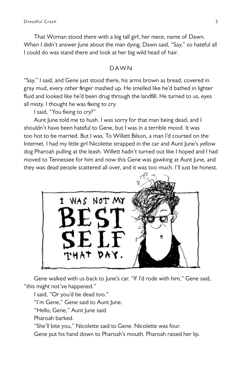That Woman stood there with a big tall girl, her niece, name of Dawn. When I didn't answer June about the man dying, Dawn said, "Say," so hateful all I could do was stand there and look at her big wild head of hair.

#### DAWN

"Say," I said, and Gene just stood there, his arms brown as bread, covered in gray mud, every other finger mashed up. He smelled like he'd bathed in lighter fluid and looked like he'd been drug through the landfill. He turned to us, eyes all misty. I thought he was fixing to cry.

I said, "You fixing to cry?"

Aunt June told me to hush. I was sorry for that man being dead, and I shouldn't have been hateful to Gene, but I was in a terrible mood. It was too hot to be married. But I was. To Willett Bilson, a man I'd courted on the Internet. I had my little girl Nicolette strapped in the car and Aunt June's yellow dog Pharoah pulling at the leash. Willett hadn't turned out like I hoped and I had moved to Tennessee for him and now this Gene was gawking at Aunt June, and they was dead people scattered all over, and it was too much. I'll just be honest.



Gene walked with us back to June's car. "If I'd rode with him," Gene said, "this might not've happened."

I said, "Or you'd be dead too."

"I'm Gene," Gene said to Aunt June.

"Hello, Gene," Aunt June said.

Pharoah barked.

"She'll bite you," Nicolette said to Gene. Nicolette was four.

Gene put his hand down to Pharoah's mouth. Pharoah raised her lip.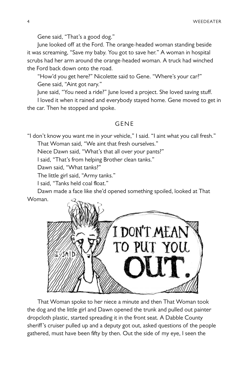Gene said, "That's a good dog."

June looked off at the Ford. The orange-headed woman standing beside it was screaming, "Save my baby. You got to save her." A woman in hospital scrubs had her arm around the orange-headed woman. A truck had winched the Ford back down onto the road.

"How'd you get here?" Nicolette said to Gene. "Where's your car?" Gene said, "Aint got nary."

June said, "You need a ride?" June loved a project. She loved saving stuff.

I loved it when it rained and everybody stayed home. Gene moved to get in the car. Then he stopped and spoke.

## GENE

"I don't know you want me in your vehicle," I said. "I aint what you call fresh."

That Woman said, "We aint that fresh ourselves."

Niece Dawn said, "What's that all over your pants?"

I said, "That's from helping Brother clean tanks."

Dawn said, "What tanks?"

The little girl said, "Army tanks."

I said, "Tanks held coal float."

Dawn made a face like she'd opened something spoiled, looked at That Woman.



That Woman spoke to her niece a minute and then That Woman took the dog and the little girl and Dawn opened the trunk and pulled out painter dropcloth plastic, started spreading it in the front seat. A Dabble County sheriff 's cruiser pulled up and a deputy got out, asked questions of the people gathered, must have been fifty by then. Out the side of my eye, I seen the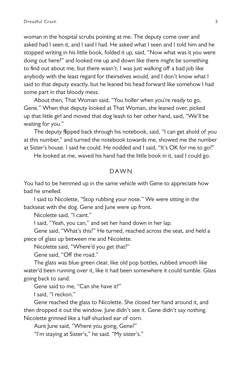woman in the hospital scrubs pointing at me. The deputy come over and asked had I seen it, and I said I had. He asked what I seen and I told him and he stopped writing in his little book, folded it up, said, "Now what was it you were doing out here?" and looked me up and down like there might be something to find out about me, but there wasn't. I was just walking off a bad job like anybody with the least regard for theirselves would, and I don't know what I said to that deputy exactly, but he leaned his head forward like somehow I had some part in that bloody mess.

About then, That Woman said, "You holler when you're ready to go, Gene." When that deputy looked at That Woman, she leaned over, picked up that little girl and moved that dog leash to her other hand, said, "We'll be waiting for you."

The deputy flipped back through his notebook, said, "I can get ahold of you at this number," and turned the notebook towards me, showed me the number at Sister's house. I said he could. He nodded and I said, "It's OK for me to go?"

He looked at me, waved his hand had the little book in it, said I could go.

#### DAWN

You had to be hemmed up in the same vehicle with Gene to appreciate how bad he smelled.

I said to Nicolette, "Stop rubbing your nose." We were sitting in the backseat with the dog. Gene and June were up front.

Nicolette said, "I caint."

I said, "Yeah, you can," and set her hand down in her lap.

Gene said, "What's this?" He turned, reached across the seat, and held a piece of glass up between me and Nicolette.

Nicolette said, "Where'd you get that?"

Gene said, "Off the road."

The glass was blue-green clear, like old pop bottles, rubbed smooth like water'd been running over it, like it had been somewhere it could tumble. Glass going back to sand.

Gene said to me, "Can she have it?"

I said, "I reckon."

Gene reached the glass to Nicolette. She closed her hand around it, and then dropped it out the window. June didn't see it. Gene didn't say nothing. Nicolette grinned like a half-shucked ear of corn.

Aunt June said, "Where you going, Gene?"

"I'm staying at Sister's," he said. "My sister's."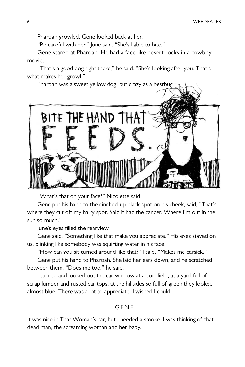Pharoah growled. Gene looked back at her.

"Be careful with her," June said. "She's liable to bite."

Gene stared at Pharoah. He had a face like desert rocks in a cowboy movie.

"That's a good dog right there," he said. "She's looking after you. That's what makes her growl."

Pharoah was a sweet yellow dog, but crazy as a bestbug.



"What's that on your face?" Nicolette said.

Gene put his hand to the cinched-up black spot on his cheek, said, "That's where they cut off my hairy spot. Said it had the cancer. Where I'm out in the sun so much."

June's eyes filled the rearview.

Gene said, "Something like that make you appreciate." His eyes stayed on us, blinking like somebody was squirting water in his face.

"How can you sit turned around like that?" I said. "Makes me carsick."

Gene put his hand to Pharoah. She laid her ears down, and he scratched between them. "Does me too," he said.

I turned and looked out the car window at a cornfield, at a yard full of scrap lumber and rusted car tops, at the hillsides so full of green they looked almost blue. There was a lot to appreciate. I wished I could.

## GENE

It was nice in That Woman's car, but I needed a smoke. I was thinking of that dead man, the screaming woman and her baby.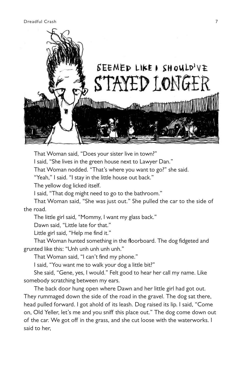

That Woman said, "Does your sister live in town?"

I said, "She lives in the green house next to Lawyer Dan."

That Woman nodded. "That's where you want to go?" she said.

"Yeah," I said. "I stay in the little house out back."

The yellow dog licked itself.

I said, "That dog might need to go to the bathroom."

That Woman said, "She was just out." She pulled the car to the side of the road.

The little girl said, "Mommy, I want my glass back."

Dawn said, "Little late for that."

Little girl said, "Help me find it."

That Woman hunted something in the floorboard. The dog fidgeted and grunted like this: "Unh unh unh unh unh."

That Woman said, "I can't find my phone."

I said, "You want me to walk your dog a little bit?"

She said, "Gene, yes, I would." Felt good to hear her call my name. Like somebody scratching between my ears.

The back door hung open where Dawn and her little girl had got out. They rummaged down the side of the road in the gravel. The dog sat there, head pulled forward. I got ahold of its leash. Dog raised its lip. I said, "Come on, Old Yeller, let's me and you sniff this place out." The dog come down out of the car. We got off in the grass, and she cut loose with the waterworks. I said to her,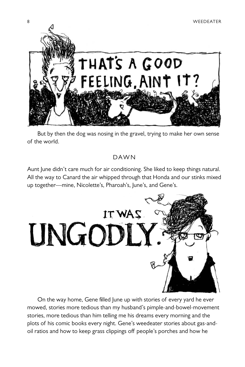

But by then the dog was nosing in the gravel, trying to make her own sense of the world.

## DAWN

Aunt June didn't care much for air conditioning. She liked to keep things natural. All the way to Canard the air whipped through that Honda and our stinks mixed up together—mine, Nicolette's, Pharoah's, June's, and Gene's.



On the way home, Gene filled June up with stories of every yard he ever mowed, stories more tedious than my husband's pimple-and-bowel-movement stories, more tedious than him telling me his dreams every morning and the plots of his comic books every night. Gene's weedeater stories about gas-andoil ratios and how to keep grass clippings off people's porches and how he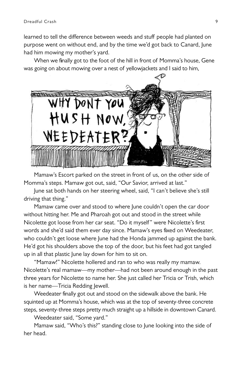learned to tell the difference between weeds and stuff people had planted on purpose went on without end, and by the time we'd got back to Canard, June had him mowing my mother's yard.

When we finally got to the foot of the hill in front of Momma's house, Gene was going on about mowing over a nest of yellowjackets and I said to him,



Mamaw's Escort parked on the street in front of us, on the other side of Momma's steps. Mamaw got out, said, "Our Savior, arrived at last."

June sat both hands on her steering wheel, said, "I can't believe she's still driving that thing."

Mamaw came over and stood to where June couldn't open the car door without hitting her. Me and Pharoah got out and stood in the street while Nicolette got loose from her car seat. "Do it myself " were Nicolette's first words and she'd said them ever day since. Mamaw's eyes fixed on Weedeater, who couldn't get loose where June had the Honda jammed up against the bank. He'd got his shoulders above the top of the door, but his feet had got tangled up in all that plastic June lay down for him to sit on.

"Mamaw!" Nicolette hollered and ran to who was really my mamaw. Nicolette's real mamaw—my mother—had not been around enough in the past three years for Nicolette to name her. She just called her Tricia or Trish, which is her name—Tricia Redding Jewell.

Weedeater finally got out and stood on the sidewalk above the bank. He squinted up at Momma's house, which was at the top of seventy-three concrete steps, seventy-three steps pretty much straight up a hillside in downtown Canard.

Weedeater said, "Some yard."

Mamaw said, "Who's this?" standing close to June looking into the side of her head.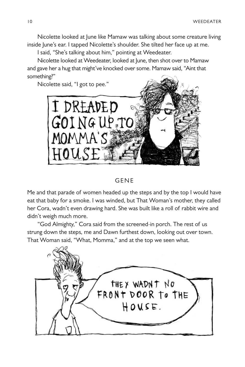Nicolette looked at June like Mamaw was talking about some creature living inside June's ear. I tapped Nicolette's shoulder. She tilted her face up at me.

I said, "She's talking about him," pointing at Weedeater.

Nicolette looked at Weedeater, looked at June, then shot over to Mamaw and gave her a hug that might've knocked over some. Mamaw said, "Aint that something?"

Nicolette said, "I got to pee."



## GENE

Me and that parade of women headed up the steps and by the top I would have eat that baby for a smoke. I was winded, but That Woman's mother, they called her Cora, wadn't even drawing hard. She was built like a roll of rabbit wire and didn't weigh much more.

"God Almighty," Cora said from the screened-in porch. The rest of us strung down the steps, me and Dawn furthest down, looking out over town. That Woman said, "What, Momma," and at the top we seen what.

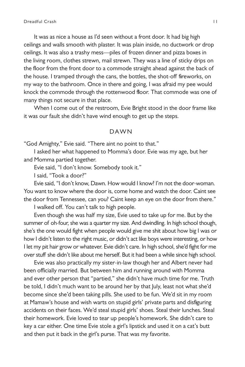It was as nice a house as I'd seen without a front door. It had big high ceilings and walls smooth with plaster. It was plain inside, no ductwork or drop ceilings. It was also a trashy mess—piles of frozen dinner and pizza boxes in the living room, clothes strewn, mail strewn. They was a line of sticky drips on the floor from the front door to a commode straight ahead against the back of the house. I tramped through the cans, the bottles, the shot-off fireworks, on my way to the bathroom. Once in there and going, I was afraid my pee would knock the commode through the rottenwood floor. That commode was one of many things not secure in that place.

When I come out of the restroom, Evie Bright stood in the door frame like it was our fault she didn't have wind enough to get up the steps.

#### DAWN

"God Amighty," Evie said. "There aint no point to that."

I asked her what happened to Momma's door. Evie was my age, but her and Momma partied together.

Evie said, "I don't know. Somebody took it."

I said, "Took a door?"

Evie said, "I don't know, Dawn. How would I know? I'm not the door-woman. You want to know where the door is, come home and watch the door. Caint see the door from Tennessee, can you? Caint keep an eye on the door from there."

I walked off. You can't talk to high people.

Even though she was half my size, Evie used to take up for me. But by the summer of oh-four, she was a quarter my size. And dwindling. In high school though, she's the one would fight when people would give me shit about how big I was or how I didn't listen to the right music, or didn't act like boys were interesting, or how I let my pit hair grow or whatever. Evie didn't care. In high school, she'd fight for me over stuff she didn't like about me herself. But it had been a while since high school.

Evie was also practically my sister-in-law though her and Albert never had been officially married. But between him and running around with Momma and ever other person that "partied," she didn't have much time for me. Truth be told, I didn't much want to be around her by that July, least not what she'd become since she'd been taking pills. She used to be fun. We'd sit in my room at Mamaw's house and wish warts on stupid girls' private parts and disfiguring accidents on their faces. We'd steal stupid girls' shoes. Steal their lunches. Steal their homework. Evie loved to tear up people's homework. She didn't care to key a car either. One time Evie stole a girl's lipstick and used it on a cat's butt and then put it back in the girl's purse. That was my favorite.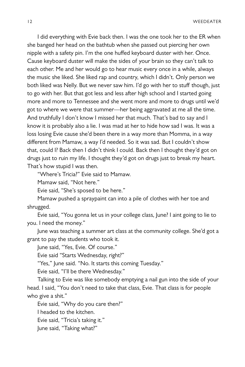I did everything with Evie back then. I was the one took her to the ER when she banged her head on the bathtub when she passed out piercing her own nipple with a safety pin. I'm the one huffed keyboard duster with her. Once. Cause keyboard duster will make the sides of your brain so they can't talk to each other. Me and her would go to hear music every once in a while, always the music she liked. She liked rap and country, which I didn't. Only person we both liked was Nelly. But we never saw him. I'd go with her to stuff though, just to go with her. But that got less and less after high school and I started going more and more to Tennessee and she went more and more to drugs until we'd got to where we were that summer—her being aggravated at me all the time. And truthfully I don't know I missed her that much. That's bad to say and I know it is probably also a lie. I was mad at her to hide how sad I was. It was a loss losing Evie cause she'd been there in a way more than Momma, in a way different from Mamaw, a way I'd needed. So it was sad. But I couldn't show that, could I? Back then I didn't think I could. Back then I thought they'd got on drugs just to ruin my life. I thought they'd got on drugs just to break my heart. That's how stupid I was then.

"Where's Tricia?" Evie said to Mamaw.

Mamaw said, "Not here."

Evie said, "She's sposed to be here."

Mamaw pushed a spraypaint can into a pile of clothes with her toe and shrugged.

Evie said, "You gonna let us in your college class, June? I aint going to lie to you. I need the money."

June was teaching a summer art class at the community college. She'd got a grant to pay the students who took it.

June said, "Yes, Evie. Of course."

Evie said "Starts Wednesday, right?"

"Yes," June said. "No. It starts this coming Tuesday."

Evie said, "I'll be there Wednesday."

Talking to Evie was like somebody emptying a nail gun into the side of your head. I said, "You don't need to take that class, Evie. That class is for people who give a shit."

Evie said, "Why do you care then?"

I headed to the kitchen.

Evie said, "Tricia's taking it."

June said, "Taking what?"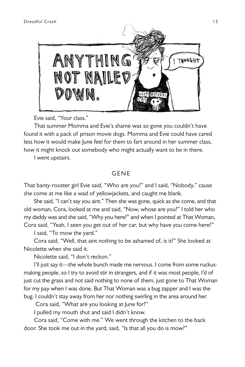

Evie said, "Your class."

That summer Momma and Evie's shame was so gone you couldn't have found it with a pack of prison movie dogs. Momma and Evie could have cared less how it would make June feel for them to fart around in her summer class, how it might knock out somebody who might actually want to be in there.

I went upstairs.

# GENE

That banty-rooster girl Evie said, "Who are you?" and I said, "Nobody," cause she come at me like a wad of yellowjackets, and caught me blank.

She said, "I can't say you aint." Then she was gone, quick as she come, and that old woman, Cora, looked at me and said, "Now, whose are you?" I told her who my daddy was and she said, "Why you here?" and when I pointed at That Woman, Cora said, "Yeah, I seen you get out of her car, but why have you come here?"

I said, "To mow the yard."

Cora said, "Well, that aint nothing to be ashamed of, is it?" She looked at Nicolette when she said it.

Nicolette said, "I don't reckon."

I'll just say it—the whole bunch made me nervous. I come from some ruckusmaking people, so I try to avoid stir in strangers, and if it was most people, I'd of just cut the grass and not said nothing to none of them, just gone to That Woman for my pay when I was done. But That Woman was a bug zapper and I was the bug. I couldn't stay away from her nor nothing swirling in the area around her.

Cora said, "What are you looking at June for?"

I pulled my mouth shut and said I didn't know.

Cora said, "Come with me." We went through the kitchen to the back door. She took me out in the yard, said, "Is that all you do is mow?"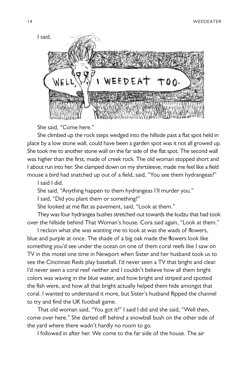

She said, "Come here."

She climbed up the rock steps wedged into the hillside past a flat spot held in place by a low stone wall, could have been a garden spot was it not all growed up. She took me to another stone wall on the far side of the flat spot. The second wall was higher than the first, made of creek rock. The old woman stopped short and I about run into her. She clamped down on my shirtsleeve, made me feel like a field mouse a bird had snatched up out of a field, said, "You see them hydrangeas?"

I said I did.

She said, "Anything happen to them hydrangeas I'll murder you."

I said, "Did you plant them or something?"

She looked at me flat as pavement, said, "Look at them."

They was four hydrangea bushes stretched out towards the kudzu that had took over the hillside behind That Woman's house. Cora said again, "Look at them."

I reckon what she was wanting me to look at was the wads of flowers, blue and purple at once. The shade of a big oak made the flowers look like something you'd see under the ocean on one of them coral reefs like I saw on TV in this motel one time in Newport when Sister and her husband took us to see the Cincinnati Reds play baseball. I'd never seen a TV that bright and clear. I'd never seen a coral reef neither and I couldn't believe how all them bright colors was waving in the blue water, and how bright and striped and spotted the fish were, and how all that bright actually helped them hide amongst that coral. I wanted to understand it more, but Sister's husband flipped the channel to try and find the UK football game.

That old woman said, "You got it?" I said I did and she said, "Well then, come over here." She darted off behind a snowball bush on the other side of the yard where there wadn't hardly no room to go.

I followed in after her. We come to the far side of the house. The air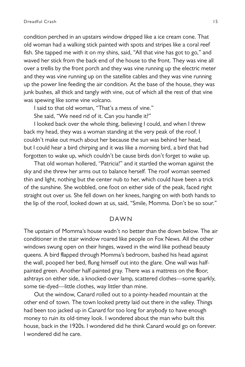condition perched in an upstairs window dripped like a ice cream cone. That old woman had a walking stick painted with spots and stripes like a coral reef fish. She tapped me with it on my shins, said, "All that vine has got to go," and waved her stick from the back end of the house to the front. They was vine all over a trellis by the front porch and they was vine running up the electric meter and they was vine running up on the satellite cables and they was vine running up the power line feeding the air condition. At the base of the house, they was junk bushes, all thick and tangly with vine, out of which all the rest of that vine was spewing like some vine volcano.

I said to that old woman, "That's a mess of vine."

She said, "We need rid of it. Can you handle it?"

I looked back over the whole thing, believing I could, and when I threw back my head, they was a woman standing at the very peak of the roof. I couldn't make out much about her because the sun was behind her head, but I could hear a bird chirping and it was like a morning bird, a bird that had forgotten to wake up, which couldn't be cause birds don't forget to wake up.

That old woman hollered, "Patricia!" and it startled the woman against the sky and she threw her arms out to balance herself. The roof woman seemed thin and light, nothing but the center nub to her, which could have been a trick of the sunshine. She wobbled, one foot on either side of the peak, faced right straight out over us. She fell down on her knees, hanging on with both hands to the lip of the roof, looked down at us, said, "Smile, Momma. Don't be so sour."

#### DAWN

The upstairs of Momma's house wadn't no better than the down below. The air conditioner in the stair window roared like people on Fox News. All the other windows swung open on their hinges, waved in the wind like pothead beauty queens. A bird flapped through Momma's bedroom, bashed his head against the wall, pooped her bed, flung himself out into the glare. One wall was halfpainted green. Another half-painted gray. There was a mattress on the floor, ashtrays on either side, a knocked-over lamp, scattered clothes—some sparkly, some tie-dyed—little clothes, way littler than mine.

Out the window, Canard rolled out to a pointy-headed mountain at the other end of town. The town looked pretty laid out there in the valley. Things had been too jacked up in Canard for too long for anybody to have enough money to ruin its old-timey look. I wondered about the man who built this house, back in the 1920s. I wondered did he think Canard would go on forever. I wondered did he care.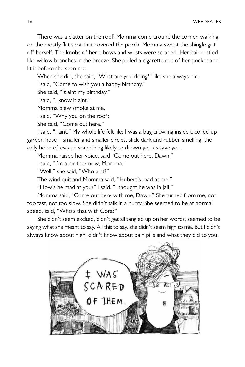There was a clatter on the roof. Momma come around the corner, walking on the mostly flat spot that covered the porch. Momma swept the shingle grit off herself. The knobs of her elbows and wrists were scraped. Her hair rustled like willow branches in the breeze. She pulled a cigarette out of her pocket and lit it before she seen me.

When she did, she said, "What are you doing?" like she always did.

I said, "Come to wish you a happy birthday."

She said, "It aint my birthday."

I said, "I know it aint."

Momma blew smoke at me.

I said, "Why you on the roof?"

She said, "Come out here."

I said, "I aint." My whole life felt like I was a bug crawling inside a coiled-up garden hose—smaller and smaller circles, slick-dark and rubber-smelling, the only hope of escape something likely to drown you as save you.

Momma raised her voice, said "Come out here, Dawn."

I said, "I'm a mother now, Momma."

"Well," she said, "Who aint?"

The wind quit and Momma said, "Hubert's mad at me."

"How's he mad at you?" I said. "I thought he was in jail."

Momma said, "Come out here with me, Dawn." She turned from me, not too fast, not too slow. She didn't talk in a hurry. She seemed to be at normal speed, said, "Who's that with Cora?"

She didn't seem excited, didn't get all tangled up on her words, seemed to be saying what she meant to say. All this to say, she didn't seem high to me. But I didn't always know about high, didn't know about pain pills and what they did to you.

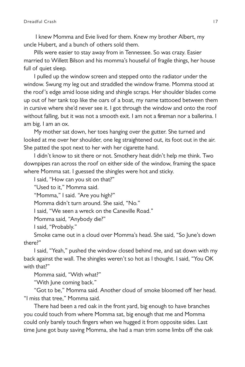I knew Momma and Evie lived for them. Knew my brother Albert, my uncle Hubert, and a bunch of others sold them.

Pills were easier to stay away from in Tennessee. So was crazy. Easier married to Willett Bilson and his momma's houseful of fragile things, her house full of quiet sleep.

I pulled up the window screen and stepped onto the radiator under the window. Swung my leg out and straddled the window frame. Momma stood at the roof 's edge amid loose siding and shingle scraps. Her shoulder blades come up out of her tank top like the oars of a boat, my name tattooed between them in cursive where she'd never see it. I got through the window and onto the roof without falling, but it was not a smooth exit. I am not a fireman nor a ballerina. I am big. I am an ox.

My mother sat down, her toes hanging over the gutter. She turned and looked at me over her shoulder, one leg straightened out, its foot out in the air. She patted the spot next to her with her cigarette hand.

I didn't know to sit there or not. Smothery heat didn't help me think. Two downpipes ran across the roof on either side of the window, framing the space where Momma sat. I guessed the shingles were hot and sticky.

I said, "How can you sit on that?"

"Used to it," Momma said.

"Momma," I said. "Are you high?"

Momma didn't turn around. She said, "No."

I said, "We seen a wreck on the Caneville Road."

Momma said, "Anybody die?"

I said, "Probably."

Smoke came out in a cloud over Momma's head. She said, "So June's down there?"

I said, "Yeah," pushed the window closed behind me, and sat down with my back against the wall. The shingles weren't so hot as I thought. I said, "You OK with that?"

Momma said, "With what?"

"With June coming back."

"Got to be," Momma said. Another cloud of smoke bloomed off her head. "I miss that tree," Momma said.

There had been a red oak in the front yard, big enough to have branches you could touch from where Momma sat, big enough that me and Momma could only barely touch fingers when we hugged it from opposite sides. Last time June got busy saving Momma, she had a man trim some limbs off the oak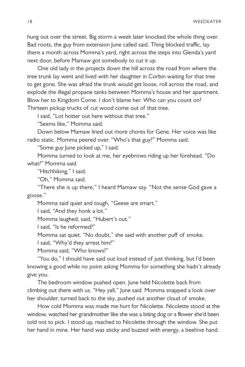hung out over the street. Big storm a week later knocked the whole thing over. Bad roots, the guy from extension June called said. Thing blocked traffic, lay there a month across Momma's yard, right across the steps into Glenda's yard next door, before Mamaw got somebody to cut it up.

One old lady in the projects down the hill across the road from where the tree trunk lay went and lived with her daughter in Corbin waiting for that tree to get gone. She was afraid the trunk would get loose, roll across the road, and explode the illegal propane tanks between Momma's house and her apartment. Blow her to Kingdom Come. I don't blame her. Who can you count on? Thirteen pickup trucks of cut wood come out of that tree.

I said, "Lot hotter out here without that tree."

"Seems like," Momma said.

Down below Mamaw lined out more chores for Gene. Her voice was like radio static. Momma peered over. "Who's that guy?" Momma said.

"Some guy June picked up," I said.

Momma turned to look at me, her eyebrows riding up her forehead. "Do what?" Momma said.

"Hitchhiking," I said.

"Oh," Momma said.

"There she is up there," I heard Mamaw say. "Not the sense God gave a goose."

Momma said quiet and tough, "Geese are smart."

I said, "And they honk a lot."

Momma laughed, said, "Hubert's out."

I said, "Is he reformed?"

Momma sat quiet. "No doubt," she said with another puff of smoke.

I said, "Why'd they arrest him?"

Momma said, "Who knows?"

"You do," I should have said out loud instead of just thinking, but I'd been knowing a good while no point asking Momma for something she hadn't already give you.

The bedroom window pushed open. June held Nicolette back from climbing out there with us. "Hey yall," June said. Momma snapped a look over her shoulder, turned back to the sky, pushed out another cloud of smoke.

How cold Momma was made me hurt for Nicolette. Nicolette stood at the window, watched her grandmother like she was a biting dog or a flower she'd been told not to pick. I stood up, reached to Nicolette through the window. She put her hand in mine. Her hand was sticky and buzzed with energy, a beehive hand.